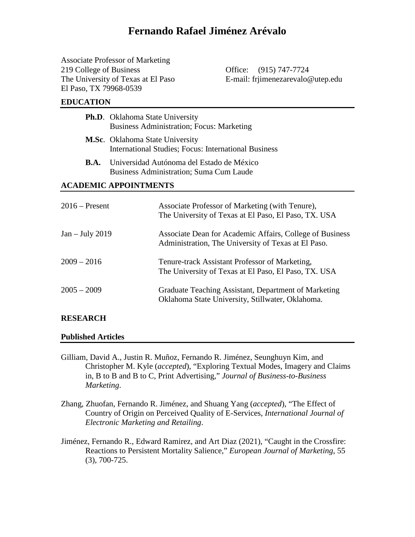# **Fernando Rafael Jiménez Arévalo**

Associate Professor of Marketing 219 College of Business Office: (915) 747-7724 El Paso, TX 79968-0539

The University of Texas at El Paso E-mail: frimenezarevalo@utep.edu

#### **EDUCATION**

|                              | <b>Ph.D.</b> Oklahoma State University<br><b>Business Administration; Focus: Marketing</b>                      |  |  |  |  |
|------------------------------|-----------------------------------------------------------------------------------------------------------------|--|--|--|--|
|                              | <b>M.Sc.</b> Oklahoma State University<br>International Studies; Focus: International Business                  |  |  |  |  |
| <b>B.A.</b>                  | Universidad Autónoma del Estado de México<br>Business Administration; Suma Cum Laude                            |  |  |  |  |
| <b>ACADEMIC APPOINTMENTS</b> |                                                                                                                 |  |  |  |  |
| $2016$ – Present             | Associate Professor of Marketing (with Tenure),<br>The University of Texas at El Paso, El Paso, TX. USA         |  |  |  |  |
| $Jan - July 2019$            | Associate Dean for Academic Affairs, College of Business<br>Administration, The University of Texas at El Paso. |  |  |  |  |
| $2009 - 2016$                | Tenure-track Assistant Professor of Marketing,<br>The University of Texas at El Paso, El Paso, TX. USA          |  |  |  |  |
|                              |                                                                                                                 |  |  |  |  |

# 2005 – 2009 Graduate Teaching Assistant, Department of Marketing Oklahoma State University, Stillwater, Oklahoma.

#### **RESEARCH**

#### **Published Articles**

Gilliam, David A., Justin R. Muñoz, Fernando R. Jiménez, Seunghuyn Kim, and Christopher M. Kyle (*accepted*), "Exploring Textual Modes, Imagery and Claims in, B to B and B to C, Print Advertising," *Journal of Business-to-Business Marketing*.

Zhang, Zhuofan, Fernando R. Jiménez, and Shuang Yang (*accepted*), "The Effect of Country of Origin on Perceived Quality of E-Services, *International Journal of Electronic Marketing and Retailing*.

Jiménez, Fernando R., Edward Ramirez, and Art Diaz (2021), "Caught in the Crossfire: Reactions to Persistent Mortality Salience," *European Journal of Marketing*, 55 (3), 700-725.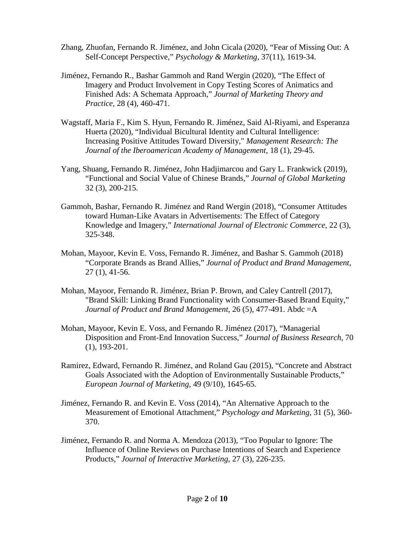- Zhang, Zhuofan, Fernando R. Jiménez, and John Cicala (2020), "Fear of Missing Out: A Self-Concept Perspective," *Psychology & Marketing*, 37(11), 1619-34.
- Jiménez, Fernando R., Bashar Gammoh and Rand Wergin (2020), "The Effect of Imagery and Product Involvement in Copy Testing Scores of Animatics and Finished Ads: A Schemata Approach," *Journal of Marketing Theory and Practice,* 28 (4), 460-471.
- Wagstaff, Maria F., Kim S. Hyun, Fernando R. Jiménez, Said Al-Riyami, and Esperanza Huerta (2020), "Individual Bicultural Identity and Cultural Intelligence: Increasing Positive Attitudes Toward Diversity," *Management Research: The Journal of the Iberoamerican Academy of Management,* 18 (1), 29-45.
- Yang, Shuang, Fernando R. Jiménez, John Hadjimarcou and Gary L. Frankwick (2019), "Functional and Social Value of Chinese Brands," *Journal of Global Marketing* 32 (3), 200-215.
- Gammoh, Bashar, Fernando R. Jiménez and Rand Wergin (2018), "Consumer Attitudes toward Human-Like Avatars in Advertisements: The Effect of Category Knowledge and Imagery," *International Journal of Electronic Commerce,* 22 (3), 325-348.
- Mohan, Mayoor, Kevin E. Voss, Fernando R. Jiménez, and Bashar S. Gammoh (2018) "Corporate Brands as Brand Allies," *Journal of Product and Brand Management*, 27 (1), 41-56.
- Mohan, Mayoor, Fernando R. Jiménez, Brian P. Brown, and Caley Cantrell (2017), "Brand Skill: Linking Brand Functionality with Consumer-Based Brand Equity," *Journal of Product and Brand Management*, 26 (5), 477-491. Abdc =A
- Mohan, Mayoor, Kevin E. Voss, and Fernando R. Jiménez (2017), "Managerial Disposition and Front-End Innovation Success," *Journal of Business Research*, 70 (1), 193-201.
- Ramirez, Edward, Fernando R. Jiménez, and Roland Gau (2015), "Concrete and Abstract Goals Associated with the Adoption of Environmentally Sustainable Products," *European Journal of Marketing*, 49 (9/10), 1645-65.
- Jiménez, Fernando R. and Kevin E. Voss (2014), "An Alternative Approach to the Measurement of Emotional Attachment," *Psychology and Marketing*, 31 (5), 360- 370.
- Jiménez, Fernando R. and Norma A. Mendoza (2013), "Too Popular to Ignore: The Influence of Online Reviews on Purchase Intentions of Search and Experience Products," *Journal of Interactive Marketing*, 27 (3), 226-235.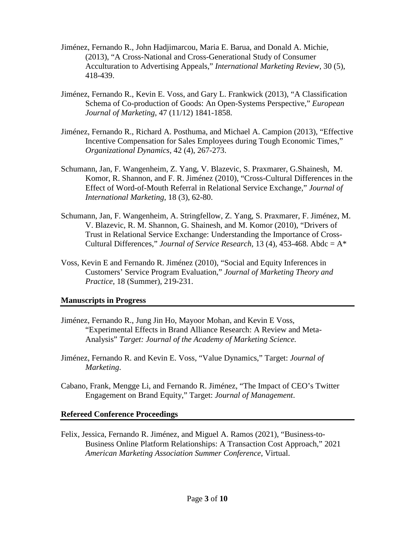- Jiménez, Fernando R., John Hadjimarcou, Maria E. Barua, and Donald A. Michie, (2013), "A Cross-National and Cross-Generational Study of Consumer Acculturation to Advertising Appeals," *International Marketing Review,* 30 (5), 418-439.
- Jiménez, Fernando R., Kevin E. Voss, and Gary L. Frankwick (2013), "A Classification Schema of Co-production of Goods: An Open-Systems Perspective," *European Journal of Marketing*, 47 (11/12) 1841-1858.
- Jiménez, Fernando R., Richard A. Posthuma, and Michael A. Campion (2013), "Effective Incentive Compensation for Sales Employees during Tough Economic Times," *Organizational Dynamics,* 42 (4), 267-273.
- Schumann, Jan, F. Wangenheim, Z. Yang, V. Blazevic, S. Praxmarer, G.Shainesh, M. Komor, R. Shannon, and F. R. Jiménez (2010), "Cross-Cultural Differences in the Effect of Word-of-Mouth Referral in Relational Service Exchange," *Journal of International Marketing*, 18 (3), 62-80.
- Schumann, Jan, F. Wangenheim, A. Stringfellow, Z. Yang, S. Praxmarer, F. Jiménez, M. V. Blazevic, R. M. Shannon, G. Shainesh, and M. Komor (2010), "Drivers of Trust in Relational Service Exchange: Understanding the Importance of Cross-Cultural Differences," *Journal of Service Research,* 13 (4), 453-468. Abdc = A\*
- Voss, Kevin E and Fernando R. Jiménez (2010), "Social and Equity Inferences in Customers' Service Program Evaluation," *Journal of Marketing Theory and Practice*, 18 (Summer), 219-231.

# **Manuscripts in Progress**

- Jiménez, Fernando R., Jung Jin Ho, Mayoor Mohan, and Kevin E Voss, "Experimental Effects in Brand Alliance Research: A Review and Meta-Analysis" *Target: Journal of the Academy of Marketing Science.*
- Jiménez, Fernando R. and Kevin E. Voss, "Value Dynamics," Target: *Journal of Marketing*.
- Cabano, Frank, Mengge Li, and Fernando R. Jiménez, "The Impact of CEO's Twitter Engagement on Brand Equity," Target: *Journal of Management*.

# **Refereed Conference Proceedings**

Felix, Jessica, Fernando R. Jiménez, and Miguel A. Ramos (2021), "Business-to-Business Online Platform Relationships: A Transaction Cost Approach," 2021 *American Marketing Association Summer Conference*, Virtual.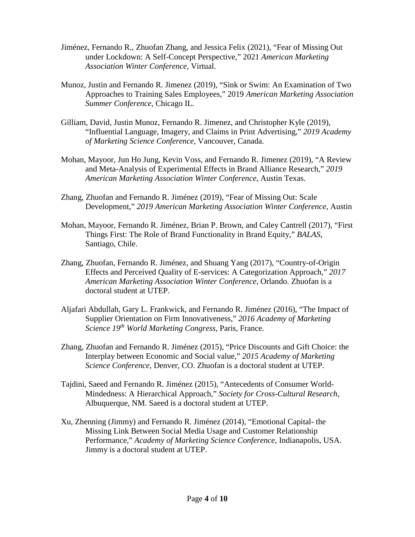- Jiménez, Fernando R., Zhuofan Zhang, and Jessica Felix (2021), "Fear of Missing Out under Lockdown: A Self-Concept Perspective," 2021 *American Marketing Association Winter Conference*, Virtual.
- Munoz, Justin and Fernando R. Jimenez (2019), "Sink or Swim: An Examination of Two Approaches to Training Sales Employees," 2019 *American Marketing Association Summer Conference*, Chicago IL.
- Gilliam, David, Justin Munoz, Fernando R. Jimenez, and Christopher Kyle (2019), "Influential Language, Imagery, and Claims in Print Advertising," *2019 Academy of Marketing Science Conference*, Vancouver, Canada.
- Mohan, Mayoor, Jun Ho Jung, Kevin Voss, and Fernando R. Jimenez (2019), "A Review and Meta-Analysis of Experimental Effects in Brand Alliance Research," *2019 American Marketing Association Winter Conference*, Austin Texas.
- Zhang, Zhuofan and Fernando R. Jiménez (2019), "Fear of Missing Out: Scale Development," *2019 American Marketing Association Winter Conference*, Austin
- Mohan, Mayoor, Fernando R. Jiménez, Brian P. Brown, and Caley Cantrell (2017), "First Things First: The Role of Brand Functionality in Brand Equity," *BALAS*, Santiago, Chile.
- Zhang, Zhuofan, Fernando R. Jiménez, and Shuang Yang (2017), "Country-of-Origin Effects and Perceived Quality of E-services: A Categorization Approach," *2017 American Marketing Association Winter Conference*, Orlando. Zhuofan is a doctoral student at UTEP.
- Aljafari Abdullah, Gary L. Frankwick, and Fernando R. Jiménez (2016), "The Impact of Supplier Orientation on Firm Innovativeness," *2016 Academy of Marketing Science 19th World Marketing Congress*, Paris, France.
- Zhang, Zhuofan and Fernando R. Jiménez (2015), "Price Discounts and Gift Choice: the Interplay between Economic and Social value," *2015 Academy of Marketing Science Conference*, Denver, CO. Zhuofan is a doctoral student at UTEP.
- Tajdini, Saeed and Fernando R. Jiménez (2015), "Antecedents of Consumer World-Mindedness: A Hierarchical Approach," *Society for Cross-Cultural Research*, Albuquerque, NM. Saeed is a doctoral student at UTEP.
- Xu, Zhenning (Jimmy) and Fernando R. Jiménez (2014), "Emotional Capital- the Missing Link Between Social Media Usage and Customer Relationship Performance," *Academy of Marketing Science Conference*, Indianapolis, USA. Jimmy is a doctoral student at UTEP.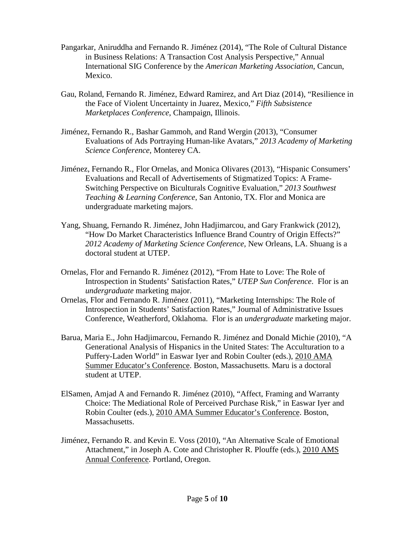- Pangarkar, Aniruddha and Fernando R. Jiménez (2014), "The Role of Cultural Distance in Business Relations: A Transaction Cost Analysis Perspective," Annual International SIG Conference by the *American Marketing Association*, Cancun, Mexico.
- Gau, Roland, Fernando R. Jiménez, Edward Ramirez, and Art Diaz (2014), "Resilience in the Face of Violent Uncertainty in Juarez, Mexico," *Fifth Subsistence Marketplaces Conference*, Champaign, Illinois.
- Jiménez, Fernando R., Bashar Gammoh, and Rand Wergin (2013), "Consumer Evaluations of Ads Portraying Human-like Avatars," *2013 Academy of Marketing Science Conference*, Monterey CA.
- Jiménez, Fernando R., Flor Ornelas, and Monica Olivares (2013), "Hispanic Consumers' Evaluations and Recall of Advertisements of Stigmatized Topics: A Frame-Switching Perspective on Biculturals Cognitive Evaluation," *2013 Southwest Teaching & Learning Conference*, San Antonio, TX. Flor and Monica are undergraduate marketing majors.
- Yang, Shuang, Fernando R. Jiménez, John Hadjimarcou, and Gary Frankwick (2012), "How Do Market Characteristics Influence Brand Country of Origin Effects?" *2012 Academy of Marketing Science Conference,* New Orleans, LA. Shuang is a doctoral student at UTEP.
- Ornelas, Flor and Fernando R. Jiménez (2012), "From Hate to Love: The Role of Introspection in Students' Satisfaction Rates," *UTEP Sun Conference*. Flor is an *undergraduate* marketing major.
- Ornelas, Flor and Fernando R. Jiménez (2011), "Marketing Internships: The Role of Introspection in Students' Satisfaction Rates," Journal of Administrative Issues Conference, Weatherford, Oklahoma. Flor is an *undergraduate* marketing major.
- Barua, Maria E., John Hadjimarcou, Fernando R. Jiménez and Donald Michie (2010), "A Generational Analysis of Hispanics in the United States: The Acculturation to a Puffery-Laden World" in Easwar Iyer and Robin Coulter (eds.), 2010 AMA Summer Educator's Conference. Boston, Massachusetts. Maru is a doctoral student at UTEP.
- ElSamen, Amjad A and Fernando R. Jiménez (2010), "Affect, Framing and Warranty Choice: The Mediational Role of Perceived Purchase Risk," in Easwar Iyer and Robin Coulter (eds.), 2010 AMA Summer Educator's Conference. Boston, Massachusetts.
- Jiménez, Fernando R. and Kevin E. Voss (2010), "An Alternative Scale of Emotional Attachment," in Joseph A. Cote and Christopher R. Plouffe (eds.), 2010 AMS Annual Conference. Portland, Oregon.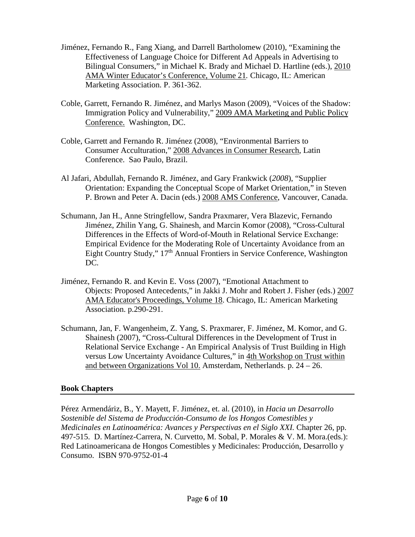- Jiménez, Fernando R., Fang Xiang, and Darrell Bartholomew (2010), "Examining the Effectiveness of Language Choice for Different Ad Appeals in Advertising to Bilingual Consumers," in Michael K. Brady and Michael D. Hartline (eds.), 2010 AMA Winter Educator's Conference, Volume 21*.* Chicago, IL: American Marketing Association. P. 361-362.
- Coble, Garrett, Fernando R. Jiménez, and Marlys Mason (2009), "Voices of the Shadow: Immigration Policy and Vulnerability," 2009 AMA Marketing and Public Policy Conference. Washington, DC.
- Coble, Garrett and Fernando R. Jiménez (2008), "Environmental Barriers to Consumer Acculturation," 2008 Advances in Consumer Research, Latin Conference. Sao Paulo, Brazil.
- Al Jafari, Abdullah, Fernando R. Jiménez, and Gary Frankwick (*2008*), "Supplier Orientation: Expanding the Conceptual Scope of Market Orientation," in Steven P. Brown and Peter A. Dacin (eds.) 2008 AMS Conference, Vancouver, Canada.
- Schumann, Jan H., Anne Stringfellow, Sandra Praxmarer, Vera Blazevic, Fernando Jiménez, Zhilin Yang, G. Shainesh, and Marcin Komor (2008), "Cross-Cultural Differences in the Effects of Word-of-Mouth in Relational Service Exchange: Empirical Evidence for the Moderating Role of Uncertainty Avoidance from an Eight Country Study," 17th Annual Frontiers in Service Conference, Washington DC.
- Jiménez, Fernando R. and Kevin E. Voss (2007), "Emotional Attachment to Objects: Proposed Antecedents," in Jakki J. Mohr and Robert J. Fisher (eds.) 2007 AMA Educator's Proceedings, Volume 18. Chicago, IL: American Marketing Association. p.290-291.
- Schumann, Jan, F. Wangenheim, Z. Yang, S. Praxmarer, F. Jiménez, M. Komor, and G. Shainesh (2007), "Cross-Cultural Differences in the Development of Trust in Relational Service Exchange - An Empirical Analysis of Trust Building in High versus Low Uncertainty Avoidance Cultures," in 4th Workshop on Trust within and between Organizations Vol 10. Amsterdam, Netherlands. p. 24 – 26.

# **Book Chapters**

Pérez Armendáriz, B., Y. Mayett, F. Jiménez, et. al. (2010), in *Hacia un Desarrollo Sostenible del Sistema de Producción-Consumo de los Hongos Comestibles y Medicinales en Latinoamérica: Avances y Perspectivas en el Siglo XXI.* Chapter 26, pp. 497-515. D. Martínez-Carrera, N. Curvetto, M. Sobal, P. Morales & V. M. Mora.(eds.): Red Latinoamericana de Hongos Comestibles y Medicinales: Producción, Desarrollo y Consumo. ISBN 970-9752-01-4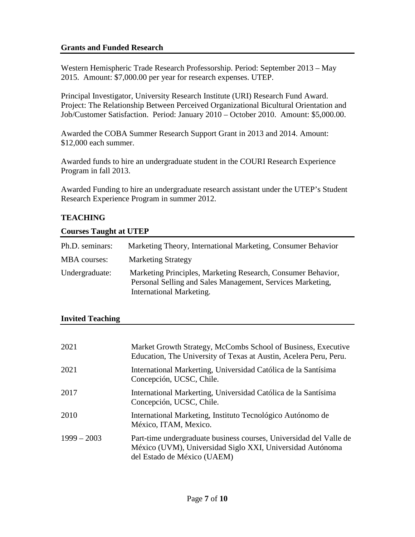# **Grants and Funded Research**

Western Hemispheric Trade Research Professorship. Period: September 2013 – May 2015. Amount: \$7,000.00 per year for research expenses. UTEP.

Principal Investigator, University Research Institute (URI) Research Fund Award. Project: The Relationship Between Perceived Organizational Bicultural Orientation and Job/Customer Satisfaction. Period: January 2010 – October 2010. Amount: \$5,000.00.

Awarded the COBA Summer Research Support Grant in 2013 and 2014. Amount: \$12,000 each summer.

Awarded funds to hire an undergraduate student in the COURI Research Experience Program in fall 2013.

Awarded Funding to hire an undergraduate research assistant under the UTEP's Student Research Experience Program in summer 2012.

# **TEACHING**

# **Courses Taught at UTEP**

| Ph.D. seminars: | Marketing Theory, International Marketing, Consumer Behavior                                                                                           |
|-----------------|--------------------------------------------------------------------------------------------------------------------------------------------------------|
| MBA courses:    | <b>Marketing Strategy</b>                                                                                                                              |
| Undergraduate:  | Marketing Principles, Marketing Research, Consumer Behavior,<br>Personal Selling and Sales Management, Services Marketing,<br>International Marketing. |

# **Invited Teaching**

| 2021          | Market Growth Strategy, McCombs School of Business, Executive<br>Education, The University of Texas at Austin, Acelera Peru, Peru.                             |  |
|---------------|----------------------------------------------------------------------------------------------------------------------------------------------------------------|--|
| 2021          | International Markerting, Universidad Católica de la Santísima<br>Concepción, UCSC, Chile.                                                                     |  |
| 2017          | International Markerting, Universidad Católica de la Santísima<br>Concepción, UCSC, Chile.                                                                     |  |
| 2010          | International Marketing, Instituto Tecnológico Autónomo de<br>México, ITAM, Mexico.                                                                            |  |
| $1999 - 2003$ | Part-time undergraduate business courses, Universidad del Valle de<br>México (UVM), Universidad Siglo XXI, Universidad Autónoma<br>del Estado de México (UAEM) |  |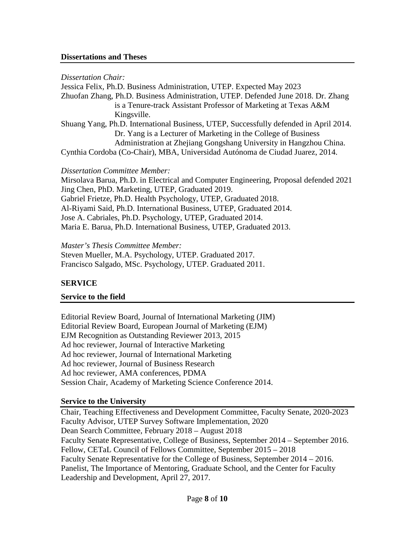#### **Dissertations and Theses**

*Dissertation Chair:*

Jessica Felix, Ph.D. Business Administration, UTEP. Expected May 2023 Zhuofan Zhang, Ph.D. Business Administration, UTEP. Defended June 2018. Dr. Zhang is a Tenure-track Assistant Professor of Marketing at Texas A&M Kingsville. Shuang Yang, Ph.D. International Business, UTEP, Successfully defended in April 2014. Dr. Yang is a Lecturer of Marketing in the College of Business Administration at Zhejiang Gongshang University in Hangzhou China. Cynthia Cordoba (Co-Chair), MBA, Universidad Autónoma de Ciudad Juarez, 2014.

#### *Dissertation Committee Member:*

Mirsolava Barua, Ph.D. in Electrical and Computer Engineering, Proposal defended 2021 Jing Chen, PhD. Marketing, UTEP, Graduated 2019. Gabriel Frietze, Ph.D. Health Psychology, UTEP, Graduated 2018. Al-Riyami Said, Ph.D. International Business, UTEP, Graduated 2014. Jose A. Cabriales, Ph.D. Psychology, UTEP, Graduated 2014. Maria E. Barua, Ph.D. International Business, UTEP, Graduated 2013.

*Master's Thesis Committee Member:* Steven Mueller, M.A. Psychology, UTEP. Graduated 2017. Francisco Salgado, MSc. Psychology, UTEP. Graduated 2011.

# **SERVICE**

# **Service to the field**

Editorial Review Board, Journal of International Marketing (JIM) Editorial Review Board, European Journal of Marketing (EJM) EJM Recognition as Outstanding Reviewer 2013, 2015 Ad hoc reviewer, Journal of Interactive Marketing Ad hoc reviewer, Journal of International Marketing Ad hoc reviewer, Journal of Business Research Ad hoc reviewer, AMA conferences, PDMA Session Chair, Academy of Marketing Science Conference 2014.

# **Service to the University**

Chair, Teaching Effectiveness and Development Committee, Faculty Senate, 2020-2023 Faculty Advisor, UTEP Survey Software Implementation, 2020 Dean Search Committee, February 2018 – August 2018 Faculty Senate Representative, College of Business, September 2014 – September 2016. Fellow, CETaL Council of Fellows Committee, September 2015 – 2018 Faculty Senate Representative for the College of Business, September 2014 – 2016. Panelist, The Importance of Mentoring, Graduate School, and the Center for Faculty Leadership and Development, April 27, 2017.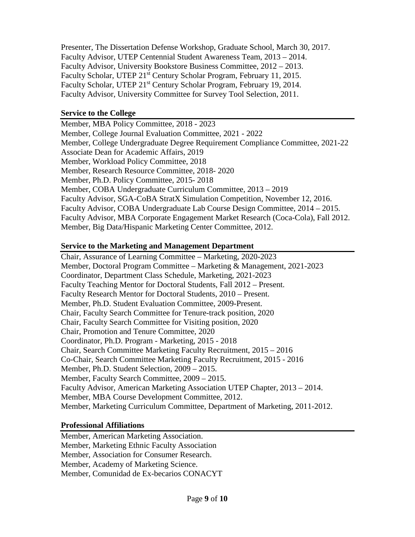Presenter, The Dissertation Defense Workshop, Graduate School, March 30, 2017. Faculty Advisor, UTEP Centennial Student Awareness Team, 2013 – 2014. Faculty Advisor, University Bookstore Business Committee, 2012 – 2013. Faculty Scholar, UTEP 21<sup>st</sup> Century Scholar Program, February 11, 2015. Faculty Scholar, UTEP 21<sup>st</sup> Century Scholar Program, February 19, 2014. Faculty Advisor, University Committee for Survey Tool Selection, 2011.

# **Service to the College**

Member, MBA Policy Committee, 2018 - 2023 Member, College Journal Evaluation Committee, 2021 - 2022 Member, College Undergraduate Degree Requirement Compliance Committee, 2021-22 Associate Dean for Academic Affairs, 2019 Member, Workload Policy Committee, 2018 Member, Research Resource Committee, 2018- 2020 Member, Ph.D. Policy Committee, 2015- 2018 Member, COBA Undergraduate Curriculum Committee, 2013 – 2019 Faculty Advisor, SGA-CoBA StratX Simulation Competition, November 12, 2016. Faculty Advisor, COBA Undergraduate Lab Course Design Committee, 2014 – 2015. Faculty Advisor, MBA Corporate Engagement Market Research (Coca-Cola), Fall 2012. Member, Big Data/Hispanic Marketing Center Committee, 2012.

# **Service to the Marketing and Management Department**

Chair, Assurance of Learning Committee – Marketing, 2020-2023 Member, Doctoral Program Committee – Marketing & Management, 2021-2023 Coordinator, Department Class Schedule, Marketing, 2021-2023 Faculty Teaching Mentor for Doctoral Students, Fall 2012 – Present. Faculty Research Mentor for Doctoral Students, 2010 – Present. Member, Ph.D. Student Evaluation Committee, 2009-Present. Chair, Faculty Search Committee for Tenure-track position, 2020 Chair, Faculty Search Committee for Visiting position, 2020 Chair, Promotion and Tenure Committee, 2020 Coordinator, Ph.D. Program - Marketing, 2015 - 2018 Chair, Search Committee Marketing Faculty Recruitment, 2015 – 2016 Co-Chair, Search Committee Marketing Faculty Recruitment, 2015 - 2016 Member, Ph.D. Student Selection, 2009 – 2015. Member, Faculty Search Committee, 2009 – 2015. Faculty Advisor, American Marketing Association UTEP Chapter, 2013 – 2014. Member, MBA Course Development Committee, 2012. Member, Marketing Curriculum Committee, Department of Marketing, 2011-2012.

# **Professional Affiliations**

Member, American Marketing Association. Member, Marketing Ethnic Faculty Association Member, Association for Consumer Research. Member, Academy of Marketing Science. Member, Comunidad de Ex-becarios CONACYT